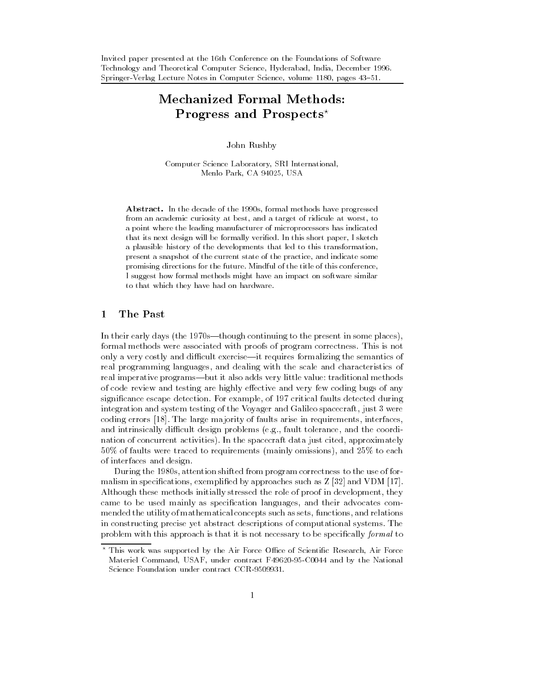# Mechanized Formal Methods:Progress and Prospects<sup>\*</sup>

John Rushby

Computer Science Laboratory, SRI International, Menlo Park, CA 94025, USA

Abstract. In the decade of the 1990s, formal methods have progressed from an academic curiosity at best, and a target of ridicule at worst, to a point where the leading manufacturer of microprocessors has indicated that its next design will be formally veried. In this short paper, I sketch a plausible history of the developments that led to this transformation, present a snapshot of the current state of the practice, and indicate some promising directions for the future. Mindful of the title of this conference, I suggest how formal methods might have an impact on software similar to that which they have had on hardware.

# <sup>1</sup> The Past

In their early days (the  $1970s$ —though continuing to the present in some places), formal methods were associated with proofs of program correctness. This is not only a very costly and difficult exercise—it requires formalizing the semantics of real programming languages, and dealing with the scale and characteristics of real imperative programs—but it also adds very little value: traditional methods of code review and testing are highly effective and very few coding bugs of any signicance escape detection. For example, of 197 critical faults detected during integration and system testing of the Voyager and Galileo spacecraft, just 3 were coding errors [18]. The large majority of faults arise in requirements, interfaces, and intrinsically difficult design problems (e.g., fault tolerance, and the coordination of concurrent activities). In the spacecraft data just cited, approximately 50% of faults were traced to requirements (mainly omissions), and 25% to each of interfaces and design.

During the 1980s, attention shifted from program correctness to the use of formalism in specifications, exemplified by approaches such as Z [32] and VDM [17]. Although these methods initially stressed the role of proof in development, they came to be used mainly as specification languages, and their advocates commended the utility of mathematical concepts such as sets, functions, and relations in constructing precise yet abstract descriptions of computational systems. The problem with this approach is that it is not necessary to be specifically *formal* to

 $^{\circ}$  This work was supported by the Air Force Office of Scientific Research, Air Force  $^{\circ}$ Materiel Command, USAF, under contract F49620-95-C0044 and by the National Science Foundation under contract CCR-9509931.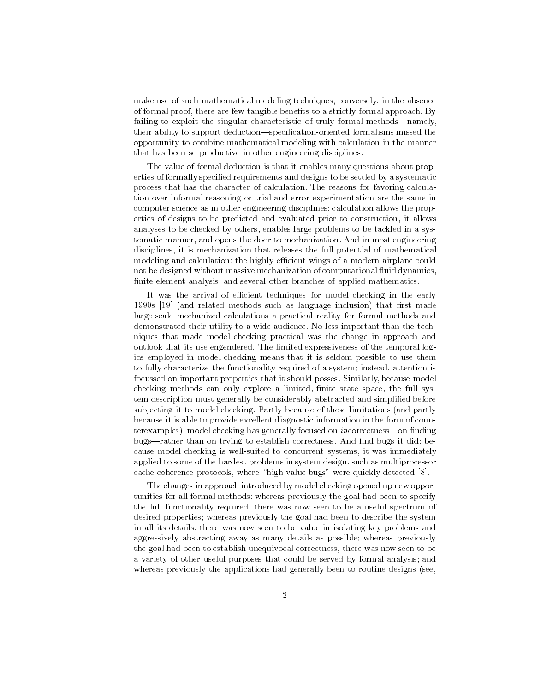make use of such mathematical modeling techniques; conversely, in the absence of formal proof, there are few tangible benefits to a strictly formal approach. By failing to exploit the singular characteristic of truly formal methods—namely, their ability to support deduction—specification-oriented formalisms missed the opportunity to combine mathematical modeling with calculation in the manner that has been so productive in other engineering disciplines.

The value of formal deduction is that it enables many questions about properties of formally specied requirements and designs to be settled by a systematic process that has the character of calculation. The reasons for favoring calculation over informal reasoning or trial and error experimentation are the same in computer science as in other engineering disciplines: calculation allows the properties of designs to be predicted and evaluated prior to construction, it allows analyses to be checked by others, enables large problems to be tackled in a systematic manner, and opens the door to mechanization. And in most engineering disciplines, it is mechanization that releases the full potential of mathematical modeling and calculation: the highly efficient wings of a modern airplane could not be designed without massive mechanization of computational fluid dynamics, finite element analysis, and several other branches of applied mathematics.

It was the arrival of efficient techniques for model checking in the early 1990s [19] (and related methods such as language inclusion) that first made large-scale mechanized calculations a practical reality for formal methods and demonstrated their utility to a wide audience. No less important than the techniques that made model checking practical was the change in approach and outlook that its use engendered. The limited expressiveness of the temporal logics employed in model checking means that it is seldom possible to use them to fully characterize the functionality required of a system; instead, attention is focussed on important properties that it should posses. Similarly, because model checking methods can only explore a limited, finite state space, the full system description must generally be considerably abstracted and simplified before subjecting it to model checking. Partly because of these limitations (and partly because it is able to provide excellent diagnostic information in the form of counterexamples), model checking has generally focused on *incorrectness*—on finding bugs-rather than on trying to establish correctness. And find bugs it did: because model checking is well-suited to concurrent systems, it was immediately applied to some of the hardest problems in system design, such as multiprocessor cache-coherence protocols, where \high-value bugs" were quickly detected [8].

The changes in approach introduced by model checking opened up new opportunities for all formal methods: whereas previously the goal had been to specify the full functionality required, there was now seen to be a useful spectrum of desired properties; whereas previously the goal had been to describe the system in all its details, there was now seen to be value in isolating key problems and aggressively abstracting away as many details as possible; whereas previously the goal had been to establish unequivocal correctness, there was now seen to be a variety of other useful purposes that could be served by formal analysis; and whereas previously the applications had generally been to routine designs (see,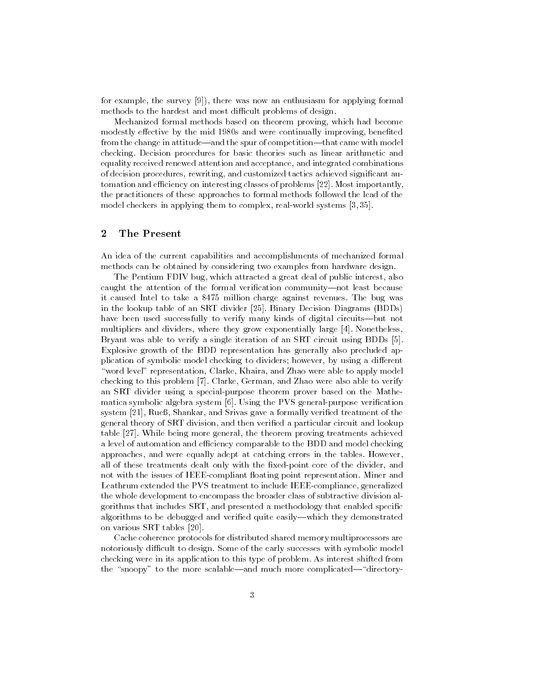for example, the survey [9]), there was now an enthusiasm for applying formal methods to the hardest and most difficult problems of design.

Mechanized formal methods based on theorem proving, which had become modestly effective by the mid 1980s and were continually improving, benefited from the change in attitude-and the spur of competition-that came with model checking. Decision procedures for basic theories such as linear arithmetic and equality received renewed attention and acceptance, and integrated combinations of decision procedures, rewriting, and customized tactics achieved signicant automation and efficiency on interesting classes of problems [22]. Most importantly, the practitioners of these approaches to formal methods followed the lead of the model checkers in applying them to complex, real-world systems [3, 35].

### <sup>2</sup> The Present

An idea of the current capabilities and accomplishments of mechanized formal methods can be obtained by considering two examples from hardware design.

The Pentium FDIV bug, which attracted a great deal of public interest, also caught the attention of the formal verification community—not least because it caused Intel to take a \$475 million charge against revenues. The bug was in the lookup table of an SRT divider [25]. Binary Decision Diagrams (BDDs) have been used successfully to verify many kinds of digital circuits-but not multipliers and dividers, where they grow exponentially large [4]. Nonetheless, Bryant was able to verify a single iteration of an SRT circuit using BDDs [5]. Explosive growth of the BDD representation has generally also precluded application of symbolic model checking to dividers; however, by using a different "word level" representation, Clarke, Khaira, and Zhao were able to apply model checking to this problem [7]. Clarke, German, and Zhao were also able to verify an SRT divider using a special-purpose theorem prover based on the Mathematica symbolic algebra system [6]. Using the PVS general-purpose verication system [21], Rueß, Shankar, and Srivas gave a formally verified treatment of the general theory of SRT division, and then veried a particular circuit and lookup table [27]. While being more general, the theorem proving treatments achieved a level of automation and efficiency comparable to the BDD and model checking approaches, and were equally adept at catching errors in the tables. However, all of these treatments dealt only with the fixed-point core of the divider, and not with the issues of IEEE-compliant floating point representation. Miner and Leathrum extended the PVS treatment to include IEEE-compliance, generalized the whole development to encompass the broader class of subtractive division algorithms that includes SRT, and presented a methodology that enabled specific algorithms to be debugged and verified quite easily—which they demonstrated on various SRT tables [20].

Cache coherence protocols for distributed shared memory multiprocessors are notoriously difficult to design. Some of the early successes with symbolic model checking were in its application to this type of problem. As interest shifted from the "snoopy" to the more scalable—and much more complicated—"directory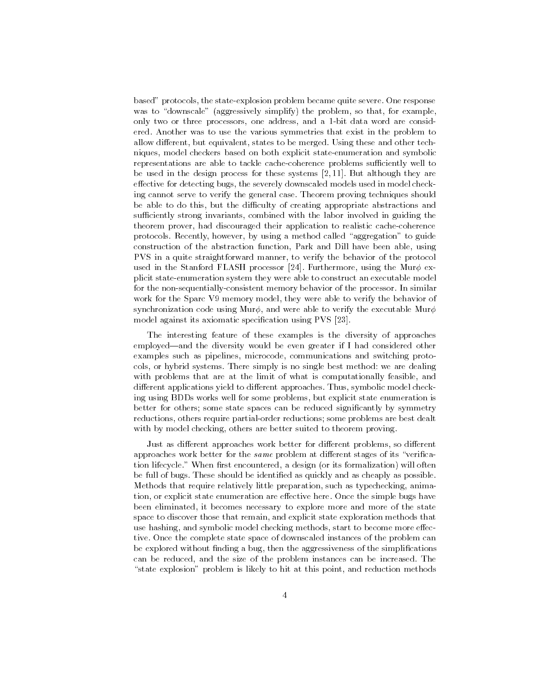based" protocols, the state-explosion problem became quite severe. One response was to "downscale" (aggressively simplify) the problem, so that, for example, only two or three processors, one address, and a 1-bit data word are considered. Another was to use the various symmetries that exist in the problem to allow different, but equivalent, states to be merged. Using these and other techniques, model checkers based on both explicit state-enumeration and symbolic representations are able to tackle cache-coherence problems sufficiently well to be used in the design process for these systems [2, 11]. But although they are effective for detecting bugs, the severely downscaled models used in model checking cannot serve to verify the general case. Theorem proving techniques should be able to do this, but the difficulty of creating appropriate abstractions and sufficiently strong invariants, combined with the labor involved in guiding the theorem prover, had discouraged their application to realistic cache-coherence protocols. Recently, however, by using a method called "aggregation" to guide construction of the abstraction function, Park and Dill have been able, using PVS in a quite straightforward manner, to verify the behavior of the protocol used in the Stanford FLASH processor [24]. Furthermore, using the Mur $\phi$  explicit state-enumeration system they were able to construct an executable model for the non-sequentially-consistent memory behavior of the processor. In similar work for the Sparc V9 memory model, they were able to verify the behavior of synchronization code using Mur $\phi$ , and were able to verify the executable Mur $\phi$ model against its axiomatic specification using PVS [23].

The interesting feature of these examples is the diversity of approaches employed—and the diversity would be even greater if I had considered other examples such as pipelines, microcode, communications and switching protocols, or hybrid systems. There simply is no single best method: we are dealing with problems that are at the limit of what is computationally feasible, and different applications yield to different approaches. Thus, symbolic model checking using BDDs works well for some problems, but explicit state enumeration is better for others; some state spaces can be reduced significantly by symmetry reductions, others require partial-order reductions; some problems are best dealt with by model checking, others are better suited to theorem proving.

Just as different approaches work better for different problems, so different approaches work better for the  $same$  problem at different stages of its "verification lifecycle." When first encountered, a design (or its formalization) will often be full of bugs. These should be identied as quickly and as cheaply as possible. Methods that require relatively little preparation, such as typechecking, animation, or explicit state enumeration are effective here. Once the simple bugs have been eliminated, it becomes necessary to explore more and more of the state space to discover those that remain, and explicit state exploration methods that use hashing, and symbolic model checking methods, start to become more effective. Once the complete state space of downscaled instances of the problem can be explored without finding a bug, then the aggressiveness of the simplifications can be reduced, and the size of the problem instances can be increased. The "state explosion" problem is likely to hit at this point, and reduction methods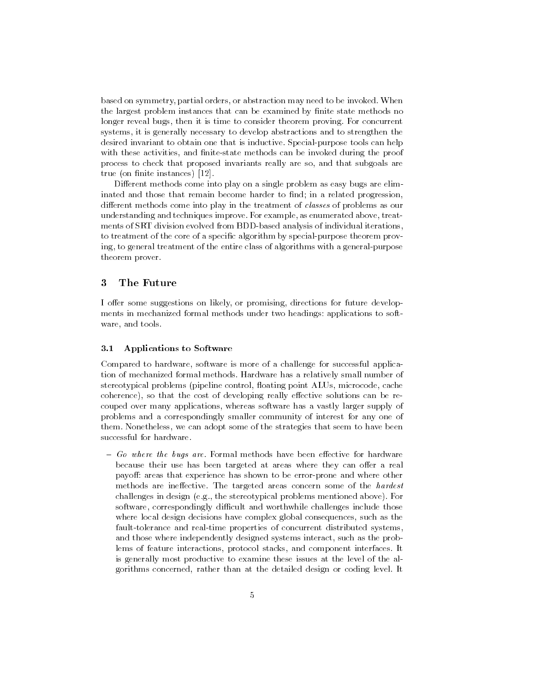based on symmetry, partial orders, or abstraction may need to be invoked. When the largest problem instances that can be examined by finite state methods no longer reveal bugs, then it is time to consider theorem proving. For concurrent systems, it is generally necessary to develop abstractions and to strengthen the desired invariant to obtain one that is inductive. Special-purpose tools can help with these activities, and finite-state methods can be invoked during the proof process to check that proposed invariants really are so, and that subgoals are true (on finite instances)  $[12]$ .

Different methods come into play on a single problem as easy bugs are eliminated and those that remain become harder to find; in a related progression, different methods come into play in the treatment of *classes* of problems as our understanding and techniques improve. For example, as enumerated above, treat ments of SRT division evolved from BDD-based analysis of individual iterations, to treatment of the core of a specific algorithm by special-purpose theorem proving, to general treatment of the entire class of algorithms with a general-purpose theorem prover.

# <sup>3</sup> The Future

I offer some suggestions on likely, or promising, directions for future developments in mechanized formal methods under two headings: applications to soft ware, and tools.

## 3.1 Applications to Software

Compared to hardware, software is more of a challenge for successful application of mechanized formal methods. Hardware has a relatively small number of stereotypical problems (pipeline control, floating point ALUs, microcode, cache coherence), so that the cost of developing really effective solutions can be recouped over many applications, whereas software has a vastly larger supply of problems and a correspondingly smaller community of interest for any one of them. Nonetheless, we can adopt some of the strategies that seem to have been successful for hardware.

 ${ - G_0}$  where the bugs are. Formal methods have been effective for hardware because their use has been targeted at areas where they can offer a real payoff: areas that experience has shown to be error-prone and where other methods are ineffective. The targeted areas concern some of the hardest challenges in design (e.g., the stereotypical problems mentioned above). For software, correspondingly difficult and worthwhile challenges include those where local design decisions have complex global consequences, such as the fault-tolerance and real-time properties of concurrent distributed systems, and those where independently designed systems interact, such as the problems of feature interactions, protocol stacks, and component interfaces. It is generally most productive to examine these issues at the level of the algorithms concerned, rather than at the detailed design or coding level. It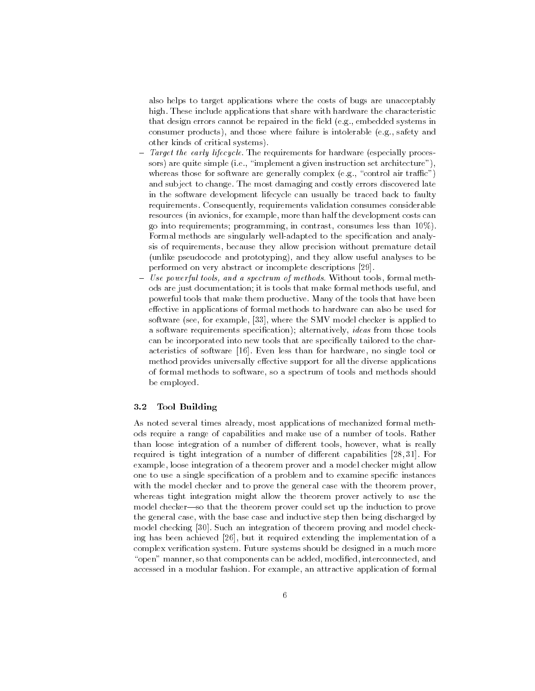also helps to target applications where the costs of bugs are unacceptably high. These include applications that share with hardware the characteristic that design errors cannot be repaired in the field  $(e.g.,$  embedded systems in consumer products), and those where failure is intolerable (e.g., safety and other kinds of critical systems).

- ${ -}$  Target the early lifecycle. The requirements for hardware (especially processors) are quite simple (i.e., "implement a given instruction set architecture"), whereas those for software are generally complex (e.g., "control air traffic") and subject to change. The most damaging and costly errors discovered late in the software development lifecycle can usually be traced back to faulty requirements. Consequently, requirements validation consumes considerable resources (in avionics, for example, more than half the development costs can go into requirements; programming, in contrast, consumes less than 10%). Formal methods are singularly well-adapted to the specification and analysis of requirements, because they allow precision without premature detail (unlike pseudocode and prototyping), and they allow useful analyses to be performed on very abstract or incomplete descriptions [29].
- $=$  Use powerful tools, and a spectrum of methods. Without tools, formal methods are just documentation; it is tools that make formal methods useful, and powerful tools that make them productive. Many of the tools that have been effective in applications of formal methods to hardware can also be used for software (see, for example, [33], where the SMV model checker is applied to a software requirements specification); alternatively, *ideas* from those tools can be incorporated into new tools that are specically tailored to the characteristics of software [16]. Even less than for hardware, no single tool or method provides universally effective support for all the diverse applications of formal methods to software, so a spectrum of tools and methods should be employed.

#### 3.2 Tool Building

As noted several times already, most applications of mechanized formal methods require a range of capabilities and make use of a number of tools. Rather than loose integration of a number of different tools, however, what is really required is tight integration of a number of different capabilities  $[28, 31]$ . For example, loose integration of a theorem prover and a model checker might allow one to use a single specification of a problem and to examine specific instances with the model checker and to prove the general case with the theorem prover, whereas tight integration might allow the theorem prover actively to use the model checker—so that the theorem prover could set up the induction to prove the general case, with the base case and inductive step then being discharged by model checking [30]. Such an integration of theorem proving and model checking has been achieved [26], but it required extending the implementation of a complex verication system. Future systems should be designed in a much more "open" manner, so that components can be added, modified, interconnected, and accessed in a modular fashion. For example, an attractive application of formal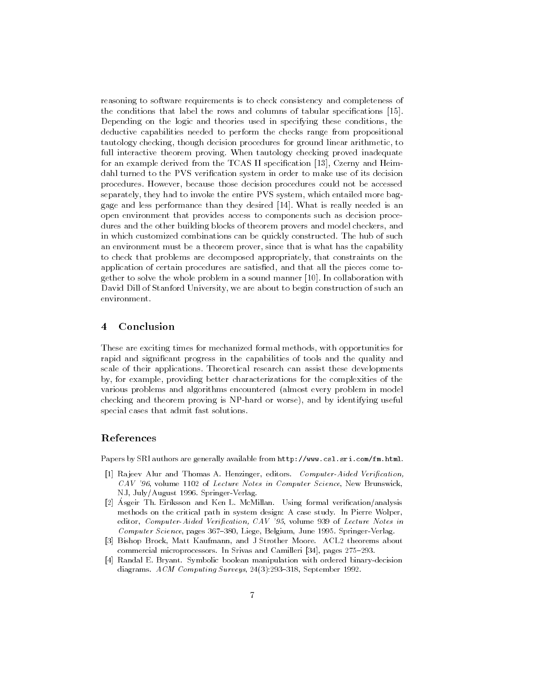reasoning to software requirements is to check consistency and completeness of the conditions that label the rows and columns of tabular specifications [15]. Depending on the logic and theories used in specifying these conditions, the deductive capabilities needed to perform the checks range from propositional tautology checking, though decision procedures for ground linear arithmetic, to full interactive theorem proving. When tautology checking proved inadequate for an example derived from the TCAS II specification [13], Czerny and Heimdahl turned to the PVS verification system in order to make use of its decision procedures. However, because those decision procedures could not be accessed separately, they had to invoke the entire PVS system, which entailed more baggage and less performance than they desired [14]. What is really needed is an open environment that provides access to components such as decision procedures and the other building blocks of theorem provers and model checkers, and in which customized combinations can be quickly constructed. The hub of such an environment must be a theorem prover, since that is what has the capability to check that problems are decomposed appropriately, that constraints on the application of certain procedures are satisfied, and that all the pieces come together to solve the whole problem in a sound manner [10]. In collaboration with David Dill of Stanford University, we are about to begin construction of such an environment.

## <sup>4</sup> Conclusion

These are exciting times for mechanized formal methods, with opportunities for rapid and signicant progress in the capabilities of tools and the quality and scale of their applications. Theoretical research can assist these developments by, for example, providing better characterizations for the complexities of the various problems and algorithms encountered (almost every problem in model checking and theorem proving is NP-hard or worse), and by identifying useful special cases that admit fast solutions.

### References

Papers by SRI authors are generally available from http://www.csl.sri.com/fm.html.

- [1] Rajeev Alur and Thomas A. Henzinger, editors. Computer-Aided Verification, CAV '96, volume 1102 of Lecture Notes in Computer Science, New Brunswick, NJ, July/August 1996. Springer-Verlag.
- [2] Asgeir Th. Eiríksson and Ken L. McMillan. Using formal verification/analysis methods on the critical path in system design: A case study. In Pierre Wolper, editor, Computer-Aided Verification, CAV '95, volume 939 of Lecture Notes in Computer Science, pages 367-380, Liege, Belgium, June 1995. Springer-Verlag.
- [3] Bishop Brock, Matt Kaufmann, and J Strother Moore. ACL2 theorems about commercial microprocessors. In Srivas and Camilleri [34], pages 275-293.
- [4] Randal E. Bryant. Symbolic boolean manipulation with ordered binary-decision diagrams. ACM Computing Surveys, 24(3):293-318, September 1992.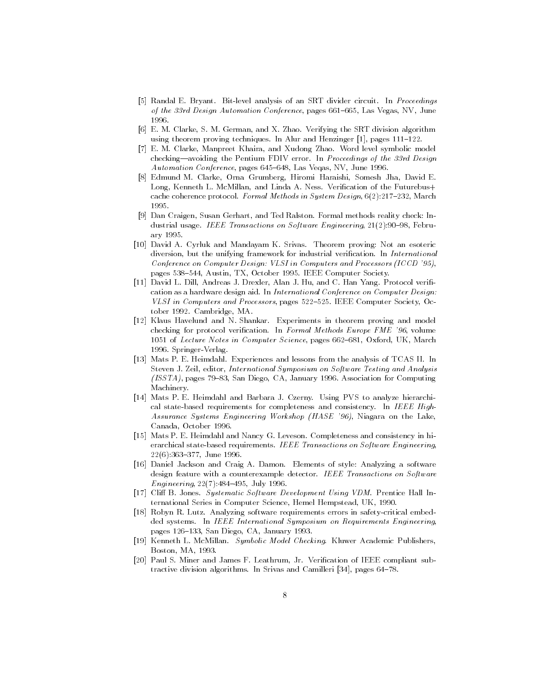- [5] Randal E. Bryant. Bit-level analysis of an SRT divider circuit. In Proceedings of the 33rd Design Automation Conference, pages  $661-665$ , Las Vegas, NV, June 1996
- [6] E. M. Clarke, S. M. German, and X. Zhao. Verifying the SRT division algorithm using theorem proving techniques. In Alur and Henzinger [1], pages 111-122.
- [7] E. M. Clarke, Manpreet Khaira, and Xudong Zhao. Word level symbolic model checking-avoiding the Pentium FDIV error. In Proceedings of the 33rd Design Automation Conference, pages 645-648, Las Veqas, NV, June 1996.
- [8] Edmund M. Clarke, Orna Grumberg, Hiromi Haraishi, Somesh Jha, David E. Long, Kenneth L. McMillan, and Linda A. Ness. Verification of the Futurebus+ cache coherence protocol. Formal Methods in System Design, 6(2):217-232, March 1995.
- [9] Dan Craigen, Susan Gerhart, and Ted Ralston. Formal methods reality check: Industrial usage. IEEE Transactions on Software Engineering,  $21(2):90-98$ , February 1995.
- [10] David A. Cyrluk and Mandayam K. Srivas. Theorem proving: Not an esoteric diversion, but the unifying framework for industrial verification. In International Conference on Computer Design: VLSI in Computers and Processors (ICCD '95), pages 538-544, Austin, TX, October 1995. IEEE Computer Society.
- [11] David L. Dill, Andreas J. Drexler, Alan J. Hu, and C. Han Yang. Protocol veri cation as a hardware design aid. In International Conference on Computer Design: VLSI in Computers and Processors, pages 522-525. IEEE Computer Society, October 1992. Cambridge, MA.
- [12] Klaus Havelund and N. Shankar. Experiments in theorem proving and model checking for protocol verification. In Formal Methods Europe FME '96, volume 1051 of Lecture Notes in Computer Science, pages 662–681, Oxford, UK, March 1996. Springer-Verlag.
- [13] Mats P. E. Heimdahl. Experiences and lessons from the analysis of TCAS II. In Steven J. Zeil, editor, International Symposium on Software Testing and Analysis  $(ISSTA)$ , pages 79-83, San Diego, CA, January 1996. Association for Computing Machinery.
- [14] Mats P. E. Heimdahl and Barbara J. Czerny. Using PVS to analyze hierarchical state-based requirements for completeness and consistency. In IEEE High-Assurance Systems Engineering Workshop (HASE '96), Niagara on the Lake, Canada, October 1996.
- [15] Mats P. E. Heimdahl and Nancy G. Leveson. Completeness and consistency in hierarchical state-based requirements. IEEE Transactions on Software Engineering, 22(6):363-377, June 1996.
- [16] Daniel Jackson and Craig A. Damon. Elements of style: Analyzing a software design feature with a counterexample detector. IEEE Transactions on Software  $Enq\nineering, 22(7):484–495, July 1996.$
- [17] Cliff B. Jones. Systematic Software Development Using VDM. Prentice Hall International Series in Computer Science, Hemel Hempstead, UK, 1990.
- [18] Robyn R. Lutz. Analyzing software requirements errors in safety-critical embedded systems. In IEEE International Symposium on Requirements Engineering, pages 126-133, San Diego, CA, January 1993.
- [19] Kenneth L. McMillan. Symbolic Model Checking. Kluwer Academic Publishers, Boston, MA, 1993.
- [20] Paul S. Miner and James F. Leathrum, Jr. Verification of IEEE compliant subtractive division algorithms. In Srivas and Camilleri [34], pages 64-78.